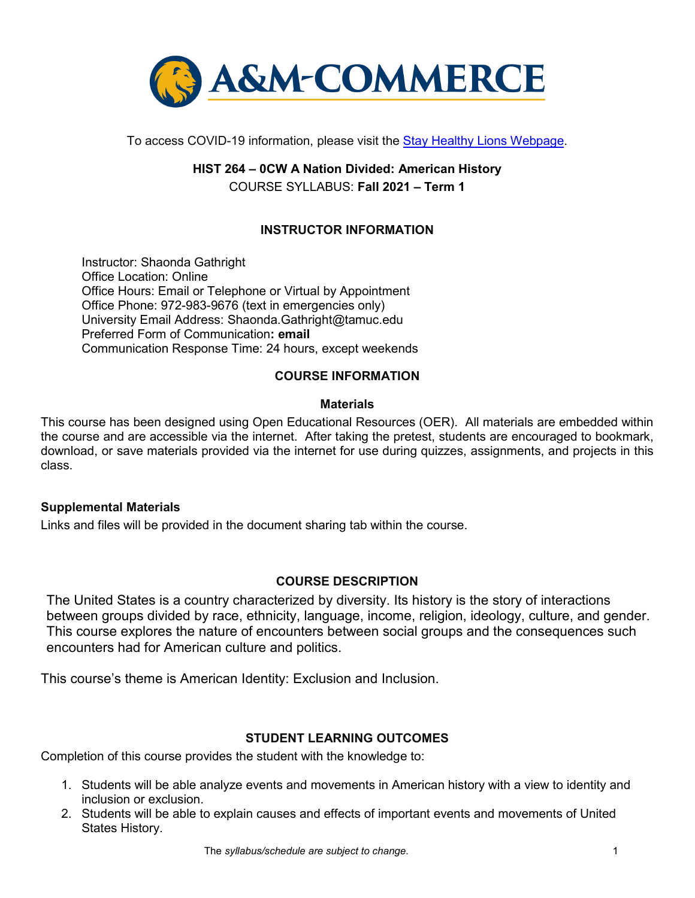

To access COVID-19 information, please visit the [Stay Healthy Lions Webpage.](https://new.tamuc.edu/coronavirus/)

# **HIST 264 – 0CW A Nation Divided: American History** COURSE SYLLABUS: **Fall 2021 – Term 1**

### **INSTRUCTOR INFORMATION**

Instructor: Shaonda Gathright Office Location: Online Office Hours: Email or Telephone or Virtual by Appointment Office Phone: 972-983-9676 (text in emergencies only) University Email Address: Shaonda.Gathright@tamuc.edu Preferred Form of Communication**: email** Communication Response Time: 24 hours, except weekends

#### **COURSE INFORMATION**

#### **Materials**

This course has been designed using Open Educational Resources (OER). All materials are embedded within the course and are accessible via the internet. After taking the pretest, students are encouraged to bookmark, download, or save materials provided via the internet for use during quizzes, assignments, and projects in this class.

#### **Supplemental Materials**

Links and files will be provided in the document sharing tab within the course.

#### **[COURSE DESCRIPTION](http://catalog.tamuc.edu/undergrad/colleges-and-departments/college-of-innovation-design/baas-organizational-leadership/?_ga=2.81546143.928332977.1616426723-584154711.1595512675)**

The United States is a country characterized by diversity. Its history is the story of interactions between groups divided by race, ethnicity, language, income, religion, ideology, culture, and gender. This course explores the nature of encounters between social groups and the consequences such encounters had for American culture and politics.

This course's theme is American Identity: Exclusion and Inclusion.

#### **STUDENT LEARNING OUTCOMES**

Completion of this course provides the student with the knowledge to:

- 1. Students will be able analyze events and movements in American history with a view to identity and inclusion or exclusion.
- 2. Students will be able to explain causes and effects of important events and movements of United States History.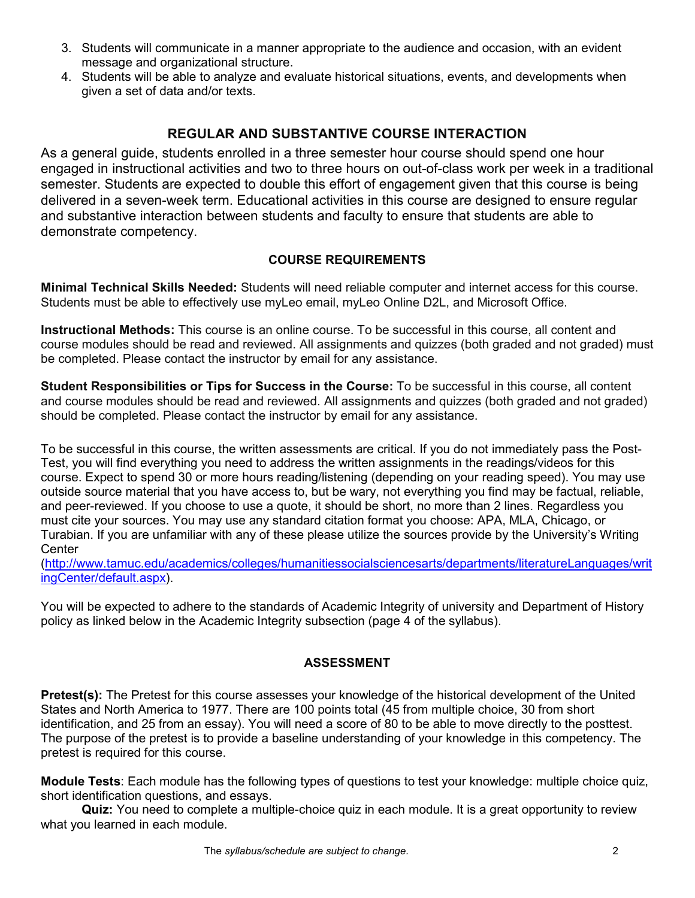- 3. Students will communicate in a manner appropriate to the audience and occasion, with an evident message and organizational structure.
- 4. Students will be able to analyze and evaluate historical situations, events, and developments when given a set of data and/or texts.

# **REGULAR AND SUBSTANTIVE COURSE INTERACTION**

As a general guide, students enrolled in a three semester hour course should spend one hour engaged in instructional activities and two to three hours on out-of-class work per week in a traditional semester. Students are expected to double this effort of engagement given that this course is being delivered in a seven-week term. Educational activities in this course are designed to ensure regular and substantive interaction between students and faculty to ensure that students are able to demonstrate competency.

### **COURSE REQUIREMENTS**

**Minimal Technical Skills Needed:** Students will need reliable computer and internet access for this course. Students must be able to effectively use myLeo email, myLeo Online D2L, and Microsoft Office.

**Instructional Methods:** This course is an online course. To be successful in this course, all content and course modules should be read and reviewed. All assignments and quizzes (both graded and not graded) must be completed. Please contact the instructor by email for any assistance.

**Student Responsibilities or Tips for Success in the Course:** To be successful in this course, all content and course modules should be read and reviewed. All assignments and quizzes (both graded and not graded) should be completed. Please contact the instructor by email for any assistance.

To be successful in this course, the written assessments are critical. If you do not immediately pass the Post-Test, you will find everything you need to address the written assignments in the readings/videos for this course. Expect to spend 30 or more hours reading/listening (depending on your reading speed). You may use outside source material that you have access to, but be wary, not everything you find may be factual, reliable, and peer-reviewed. If you choose to use a quote, it should be short, no more than 2 lines. Regardless you must cite your sources. You may use any standard citation format you choose: APA, MLA, Chicago, or Turabian. If you are unfamiliar with any of these please utilize the sources provide by the University's Writing **Center** 

[\(http://www.tamuc.edu/academics/colleges/humanitiessocialsciencesarts/departments/literatureLanguages/writ](http://www.tamuc.edu/academics/colleges/humanitiessocialsciencesarts/departments/literatureLanguages/writingCenter/default.aspx) [ingCenter/default.aspx\)](http://www.tamuc.edu/academics/colleges/humanitiessocialsciencesarts/departments/literatureLanguages/writingCenter/default.aspx).

You will be expected to adhere to the standards of Academic Integrity of university and Department of History policy as linked below in the Academic Integrity subsection (page 4 of the syllabus).

#### **ASSESSMENT**

**Pretest(s):** The Pretest for this course assesses your knowledge of the historical development of the United States and North America to 1977. There are 100 points total (45 from multiple choice, 30 from short identification, and 25 from an essay). You will need a score of 80 to be able to move directly to the posttest. The purpose of the pretest is to provide a baseline understanding of your knowledge in this competency. The pretest is required for this course.

**Module Tests**: Each module has the following types of questions to test your knowledge: multiple choice quiz, short identification questions, and essays.

**Quiz:** You need to complete a multiple-choice quiz in each module. It is a great opportunity to review what you learned in each module.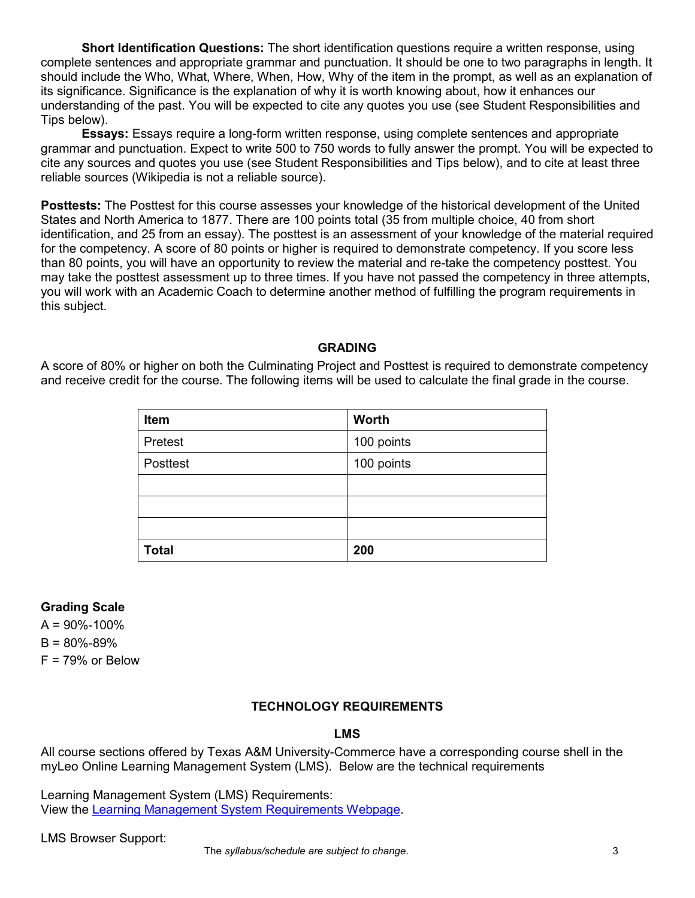**Short Identification Questions:** The short identification questions require a written response, using complete sentences and appropriate grammar and punctuation. It should be one to two paragraphs in length. It should include the Who, What, Where, When, How, Why of the item in the prompt, as well as an explanation of its significance. Significance is the explanation of why it is worth knowing about, how it enhances our understanding of the past. You will be expected to cite any quotes you use (see Student Responsibilities and Tips below).

**Essays:** Essays require a long-form written response, using complete sentences and appropriate grammar and punctuation. Expect to write 500 to 750 words to fully answer the prompt. You will be expected to cite any sources and quotes you use (see Student Responsibilities and Tips below), and to cite at least three reliable sources (Wikipedia is not a reliable source).

**Posttests:** The Posttest for this course assesses your knowledge of the historical development of the United States and North America to 1877. There are 100 points total (35 from multiple choice, 40 from short identification, and 25 from an essay). The posttest is an assessment of your knowledge of the material required for the competency. A score of 80 points or higher is required to demonstrate competency. If you score less than 80 points, you will have an opportunity to review the material and re-take the competency posttest. You may take the posttest assessment up to three times. If you have not passed the competency in three attempts, you will work with an Academic Coach to determine another method of fulfilling the program requirements in this subject.

#### **GRADING**

A score of 80% or higher on both the Culminating Project and Posttest is required to demonstrate competency and receive credit for the course. The following items will be used to calculate the final grade in the course.

| Item         | Worth      |
|--------------|------------|
| Pretest      | 100 points |
| Posttest     | 100 points |
|              |            |
|              |            |
|              |            |
| <b>Total</b> | 200        |

#### **Grading Scale**

 $A = 90\% - 100\%$  $B = 80\% - 89\%$  $F = 79%$  or Below

#### **TECHNOLOGY REQUIREMENTS**

#### **LMS**

All course sections offered by Texas A&M University-Commerce have a corresponding course shell in the myLeo Online Learning Management System (LMS). Below are the technical requirements

Learning Management System (LMS) Requirements: View the [Learning Management System Requirements Webpage.](https://community.brightspace.com/s/article/Brightspace-Platform-Requirements)

LMS Browser Support: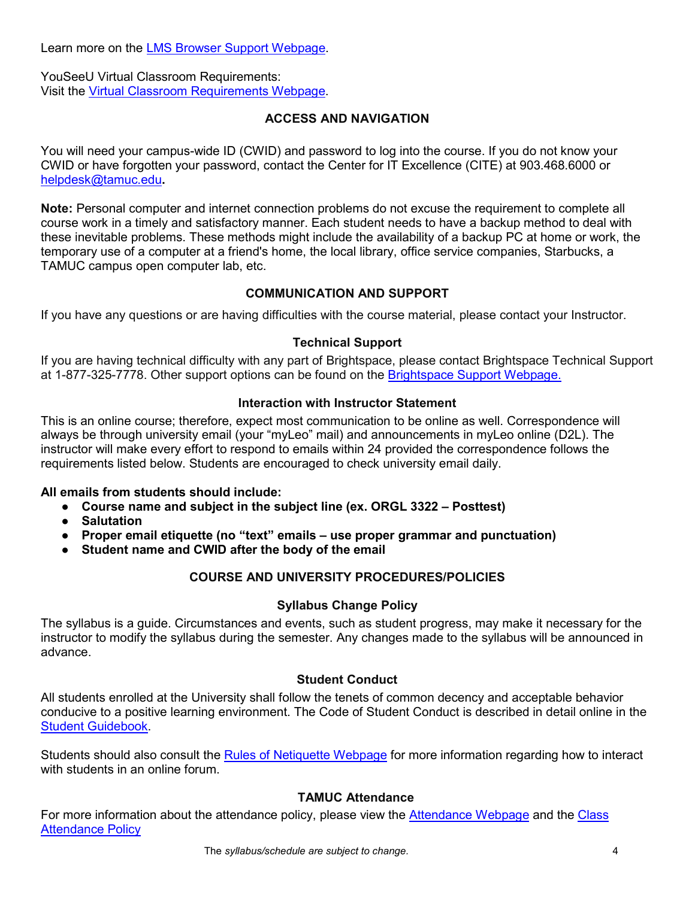Learn more on the **LMS Browser Support Webpage**.

YouSeeU Virtual Classroom Requirements: Visit the [Virtual Classroom Requirements Webpage.](https://support.youseeu.com/hc/en-us/articles/115007031107-Basic-System-Requirements)

### **ACCESS AND NAVIGATION**

You will need your campus-wide ID (CWID) and password to log into the course. If you do not know your CWID or have forgotten your password, contact the Center for IT Excellence (CITE) at 903.468.6000 or [helpdesk@tamuc.edu](mailto:helpdesk@tamuc.edu)**.**

**Note:** Personal computer and internet connection problems do not excuse the requirement to complete all course work in a timely and satisfactory manner. Each student needs to have a backup method to deal with these inevitable problems. These methods might include the availability of a backup PC at home or work, the temporary use of a computer at a friend's home, the local library, office service companies, Starbucks, a TAMUC campus open computer lab, etc.

# **COMMUNICATION AND SUPPORT**

If you have any questions or are having difficulties with the course material, please contact your Instructor.

# **Technical Support**

If you are having technical difficulty with any part of Brightspace, please contact Brightspace Technical Support at 1-877-325-7778. Other support options can be found on the [Brightspace Support Webpage.](https://community.brightspace.com/support/s/contactsupport)

### **Interaction with Instructor Statement**

This is an online course; therefore, expect most communication to be online as well. Correspondence will always be through university email (your "myLeo" mail) and announcements in myLeo online (D2L). The instructor will make every effort to respond to emails within 24 provided the correspondence follows the requirements listed below. Students are encouraged to check university email daily.

#### **All emails from students should include:**

- **Course name and subject in the subject line (ex. ORGL 3322 – Posttest)**
- **Salutation**
- **Proper email etiquette (no "text" emails – use proper grammar and punctuation)**
- **Student name and CWID after the body of the email**

# **COURSE AND UNIVERSITY PROCEDURES/POLICIES**

# **Syllabus Change Policy**

The syllabus is a guide. Circumstances and events, such as student progress, may make it necessary for the instructor to modify the syllabus during the semester. Any changes made to the syllabus will be announced in advance.

# **Student Conduct**

All students enrolled at the University shall follow the tenets of common decency and acceptable behavior conducive to a positive learning environment. The Code of Student Conduct is described in detail online in the [Student Guidebook.](http://www.tamuc.edu/Admissions/oneStopShop/undergraduateAdmissions/studentGuidebook.aspx)

Students should also consult the [Rules of Netiquette Webpage](https://www.britannica.com/topic/netiquette) for more information regarding how to interact with students in an online forum.

# **TAMUC Attendance**

For more information about the attendance policy, please view the [Attendance Webpage](http://www.tamuc.edu/admissions/registrar/generalInformation/attendance.aspx) and the [Class](http://www.tamuc.edu/aboutUs/policiesProceduresStandardsStatements/rulesProcedures/13students/academic/13.99.99.R0.01.pdf)  [Attendance Policy](http://www.tamuc.edu/aboutUs/policiesProceduresStandardsStatements/rulesProcedures/13students/academic/13.99.99.R0.01.pdf)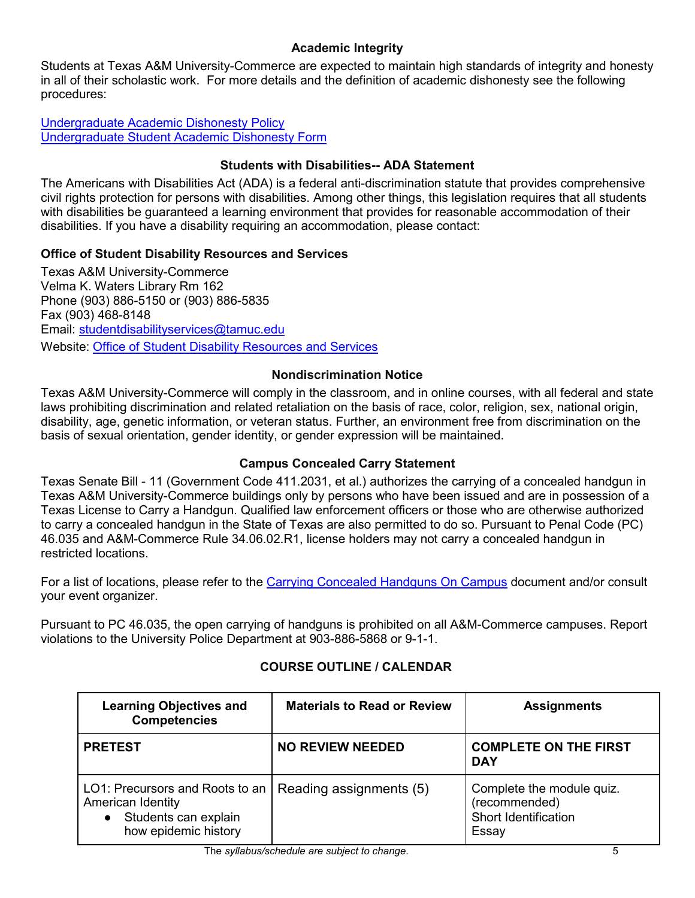# **Academic Integrity**

Students at Texas A&M University-Commerce are expected to maintain high standards of integrity and honesty in all of their scholastic work. For more details and the definition of academic dishonesty see the following procedures:

[Undergraduate Academic Dishonesty P](http://www.tamuc.edu/aboutUs/policiesProceduresStandardsStatements/rulesProcedures/13students/undergraduates/13.99.99.R0.03UndergraduateAcademicDishonesty.pdf)olicy [Undergraduate Student Academic Dishonesty Form](http://www.tamuc.edu/aboutUs/policiesProceduresStandardsStatements/rulesProcedures/documents/13.99.99.R0.03UndergraduateStudentAcademicDishonestyForm.pdf)

# **Students with Disabilities-- ADA Statement**

The Americans with Disabilities Act (ADA) is a federal anti-discrimination statute that provides comprehensive civil rights protection for persons with disabilities. Among other things, this legislation requires that all students with disabilities be guaranteed a learning environment that provides for reasonable accommodation of their disabilities. If you have a disability requiring an accommodation, please contact:

# **Office of Student Disability Resources and Services**

Texas A&M University-Commerce Velma K. Waters Library Rm 162 Phone (903) 886-5150 or (903) 886-5835 Fax (903) 468-8148 Email: [studentdisabilityservices@tamuc.edu](mailto:studentdisabilityservices@tamuc.edu) Website: [Office of Student Disability Resources and Services](http://www.tamuc.edu/campusLife/campusServices/studentDisabilityResourcesAndServices/)

# **Nondiscrimination Notice**

Texas A&M University-Commerce will comply in the classroom, and in online courses, with all federal and state laws prohibiting discrimination and related retaliation on the basis of race, color, religion, sex, national origin, disability, age, genetic information, or veteran status. Further, an environment free from discrimination on the basis of sexual orientation, gender identity, or gender expression will be maintained.

# **Campus Concealed Carry Statement**

Texas Senate Bill - 11 (Government Code 411.2031, et al.) authorizes the carrying of a concealed handgun in Texas A&M University-Commerce buildings only by persons who have been issued and are in possession of a Texas License to Carry a Handgun. Qualified law enforcement officers or those who are otherwise authorized to carry a concealed handgun in the State of Texas are also permitted to do so. Pursuant to Penal Code (PC) 46.035 and A&M-Commerce Rule 34.06.02.R1, license holders may not carry a concealed handgun in restricted locations.

For a list of locations, please refer to the [Carrying Concealed Handguns On Campus](http://www.tamuc.edu/aboutUs/policiesProceduresStandardsStatements/rulesProcedures/34SafetyOfEmployeesAndStudents/34.06.02.R1.pdf) document and/or consult your event organizer.

Pursuant to PC 46.035, the open carrying of handguns is prohibited on all A&M-Commerce campuses. Report violations to the University Police Department at 903-886-5868 or 9-1-1.

| <b>Learning Objectives and</b><br><b>Competencies</b>                                                                            | <b>Materials to Read or Review</b> | <b>Assignments</b>                                                                 |
|----------------------------------------------------------------------------------------------------------------------------------|------------------------------------|------------------------------------------------------------------------------------|
| <b>PRETEST</b>                                                                                                                   | <b>NO REVIEW NEEDED</b>            | <b>COMPLETE ON THE FIRST</b><br><b>DAY</b>                                         |
| LO1: Precursors and Roots to an   Reading assignments (5)<br>American Identity<br>• Students can explain<br>how epidemic history |                                    | Complete the module quiz.<br>(recommended)<br><b>Short Identification</b><br>Essay |

# **COURSE OUTLINE / CALENDAR**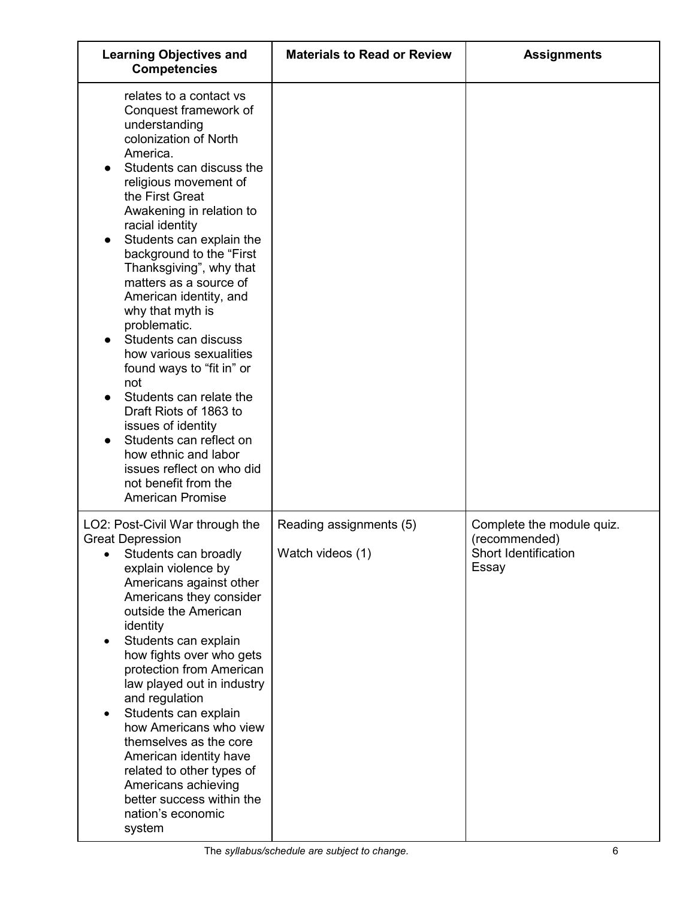| <b>Learning Objectives and</b><br><b>Competencies</b>                                                                                                                                                                                                                                                                                                                                                                                                                                                                                                                                                                                                                                                         | <b>Materials to Read or Review</b>          | <b>Assignments</b>                                                          |
|---------------------------------------------------------------------------------------------------------------------------------------------------------------------------------------------------------------------------------------------------------------------------------------------------------------------------------------------------------------------------------------------------------------------------------------------------------------------------------------------------------------------------------------------------------------------------------------------------------------------------------------------------------------------------------------------------------------|---------------------------------------------|-----------------------------------------------------------------------------|
| relates to a contact vs<br>Conquest framework of<br>understanding<br>colonization of North<br>America.<br>Students can discuss the<br>religious movement of<br>the First Great<br>Awakening in relation to<br>racial identity<br>Students can explain the<br>background to the "First<br>Thanksgiving", why that<br>matters as a source of<br>American identity, and<br>why that myth is<br>problematic.<br>Students can discuss<br>how various sexualities<br>found ways to "fit in" or<br>not<br>Students can relate the<br>Draft Riots of 1863 to<br>issues of identity<br>Students can reflect on<br>how ethnic and labor<br>issues reflect on who did<br>not benefit from the<br><b>American Promise</b> |                                             |                                                                             |
| LO2: Post-Civil War through the<br><b>Great Depression</b><br>Students can broadly<br>explain violence by<br>Americans against other<br>Americans they consider<br>outside the American<br>identity<br>Students can explain<br>٠<br>how fights over who gets<br>protection from American<br>law played out in industry<br>and regulation<br>Students can explain<br>how Americans who view<br>themselves as the core<br>American identity have<br>related to other types of<br>Americans achieving<br>better success within the<br>nation's economic<br>system                                                                                                                                                | Reading assignments (5)<br>Watch videos (1) | Complete the module quiz.<br>(recommended)<br>Short Identification<br>Essay |